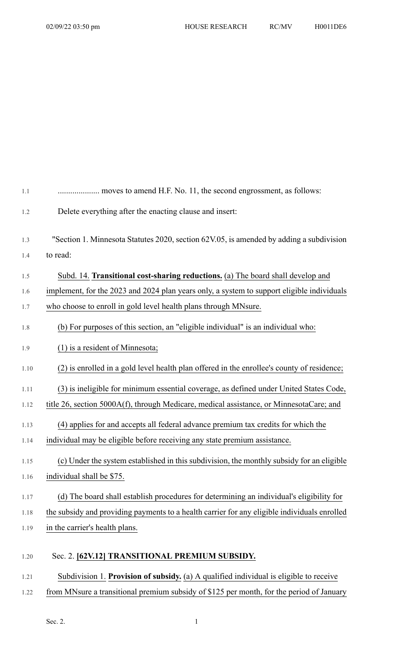| 1.1  |                                                                                              |
|------|----------------------------------------------------------------------------------------------|
| 1.2  | Delete everything after the enacting clause and insert:                                      |
| 1.3  | "Section 1. Minnesota Statutes 2020, section 62V.05, is amended by adding a subdivision      |
| 1.4  | to read:                                                                                     |
| 1.5  | Subd. 14. Transitional cost-sharing reductions. (a) The board shall develop and              |
| 1.6  | implement, for the 2023 and 2024 plan years only, a system to support eligible individuals   |
| 1.7  | who choose to enroll in gold level health plans through MNsure.                              |
| 1.8  | (b) For purposes of this section, an "eligible individual" is an individual who:             |
| 1.9  | $(1)$ is a resident of Minnesota;                                                            |
| 1.10 | (2) is enrolled in a gold level health plan offered in the enrollee's county of residence;   |
| 1.11 | (3) is ineligible for minimum essential coverage, as defined under United States Code,       |
| 1.12 | title 26, section 5000A(f), through Medicare, medical assistance, or MinnesotaCare; and      |
| 1.13 | (4) applies for and accepts all federal advance premium tax credits for which the            |
| 1.14 | individual may be eligible before receiving any state premium assistance.                    |
| 1.15 | (c) Under the system established in this subdivision, the monthly subsidy for an eligible    |
| 1.16 | individual shall be \$75.                                                                    |
| 1.17 | (d) The board shall establish procedures for determining an individual's eligibility for     |
| 1.18 | the subsidy and providing payments to a health carrier for any eligible individuals enrolled |
| 1.19 | in the carrier's health plans.                                                               |
| 1.20 | Sec. 2. [62V.12] TRANSITIONAL PREMIUM SUBSIDY.                                               |
| 1.21 | Subdivision 1. Provision of subsidy. (a) A qualified individual is eligible to receive       |

## 1.22 from MNsure a transitional premium subsidy of \$125 per month, for the period of January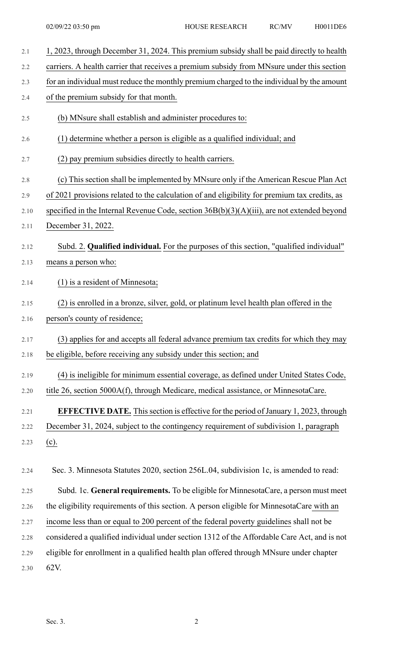| 2.1  | 1, 2023, through December 31, 2024. This premium subsidy shall be paid directly to health     |
|------|-----------------------------------------------------------------------------------------------|
| 2.2  | carriers. A health carrier that receives a premium subsidy from MNsure under this section     |
| 2.3  | for an individual must reduce the monthly premium charged to the individual by the amount     |
| 2.4  | of the premium subsidy for that month.                                                        |
| 2.5  | (b) MNsure shall establish and administer procedures to:                                      |
| 2.6  | (1) determine whether a person is eligible as a qualified individual; and                     |
| 2.7  | (2) pay premium subsidies directly to health carriers.                                        |
| 2.8  | (c) This section shall be implemented by MNsure only if the American Rescue Plan Act          |
| 2.9  | of 2021 provisions related to the calculation of and eligibility for premium tax credits, as  |
| 2.10 | specified in the Internal Revenue Code, section $36B(b)(3)(A)(iii)$ , are not extended beyond |
| 2.11 | December 31, 2022.                                                                            |
| 2.12 | Subd. 2. Qualified individual. For the purposes of this section, "qualified individual"       |
| 2.13 | means a person who:                                                                           |
| 2.14 | $(1)$ is a resident of Minnesota;                                                             |
| 2.15 | (2) is enrolled in a bronze, silver, gold, or platinum level health plan offered in the       |
| 2.16 | person's county of residence;                                                                 |
| 2.17 | (3) applies for and accepts all federal advance premium tax credits for which they may        |
| 2.18 | be eligible, before receiving any subsidy under this section; and                             |
| 2.19 | (4) is ineligible for minimum essential coverage, as defined under United States Code,        |
| 2.20 | title 26, section 5000A(f), through Medicare, medical assistance, or MinnesotaCare.           |
| 2.21 | <b>EFFECTIVE DATE.</b> This section is effective for the period of January 1, 2023, through   |
| 2.22 | December 31, 2024, subject to the contingency requirement of subdivision 1, paragraph         |
| 2.23 | $(c)$ .                                                                                       |
| 2.24 | Sec. 3. Minnesota Statutes 2020, section 256L.04, subdivision 1c, is amended to read:         |
| 2.25 | Subd. 1c. General requirements. To be eligible for MinnesotaCare, a person must meet          |
| 2.26 | the eligibility requirements of this section. A person eligible for MinnesotaCare with an     |
| 2.27 | income less than or equal to 200 percent of the federal poverty guidelines shall not be       |
| 2.28 | considered a qualified individual under section 1312 of the Affordable Care Act, and is not   |
| 2.29 | eligible for enrollment in a qualified health plan offered through MNsure under chapter       |

2.30 62V.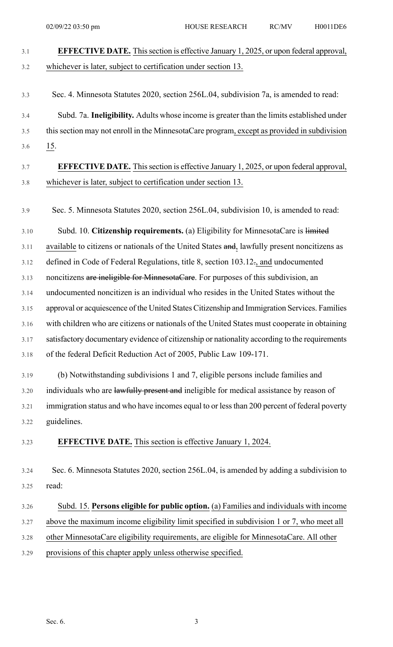| 3.1  | <b>EFFECTIVE DATE.</b> This section is effective January 1, 2025, or upon federal approval,   |
|------|-----------------------------------------------------------------------------------------------|
| 3.2  | whichever is later, subject to certification under section 13.                                |
|      |                                                                                               |
| 3.3  | Sec. 4. Minnesota Statutes 2020, section 256L.04, subdivision 7a, is amended to read:         |
| 3.4  | Subd. 7a. Ineligibility. Adults whose income is greater than the limits established under     |
| 3.5  | this section may not enroll in the MinnesotaCare program, except as provided in subdivision   |
| 3.6  | $\underline{15}$ .                                                                            |
| 3.7  | <b>EFFECTIVE DATE.</b> This section is effective January 1, 2025, or upon federal approval,   |
| 3.8  | whichever is later, subject to certification under section 13.                                |
| 3.9  | Sec. 5. Minnesota Statutes 2020, section 256L.04, subdivision 10, is amended to read:         |
| 3.10 | Subd. 10. Citizenship requirements. (a) Eligibility for MinnesotaCare is limited              |
| 3.11 | available to citizens or nationals of the United States and, lawfully present noncitizens as  |
| 3.12 | defined in Code of Federal Regulations, title 8, section 103.12., and undocumented            |
| 3.13 | noncitizens are ineligible for MinnesotaCare. For purposes of this subdivision, an            |
| 3.14 | undocumented noncitizen is an individual who resides in the United States without the         |
| 3.15 | approval or acquiescence of the United States Citizenship and Immigration Services. Families  |
| 3.16 | with children who are citizens or nationals of the United States must cooperate in obtaining  |
| 3.17 | satisfactory documentary evidence of citizenship or nationality according to the requirements |
| 3.18 | of the federal Deficit Reduction Act of 2005, Public Law 109-171.                             |
| 3.19 | (b) Notwithstanding subdivisions 1 and 7, eligible persons include families and               |
| 3.20 | individuals who are lawfully present and ineligible for medical assistance by reason of       |
| 3.21 | immigration status and who have incomes equal to or less than 200 percent of federal poverty  |
| 3.22 | guidelines.                                                                                   |
| 3.23 | <b>EFFECTIVE DATE.</b> This section is effective January 1, 2024.                             |
| 3.24 | Sec. 6. Minnesota Statutes 2020, section 256L.04, is amended by adding a subdivision to       |
| 3.25 | read:                                                                                         |
| 3.26 | Subd. 15. Persons eligible for public option. (a) Families and individuals with income        |
| 3.27 | above the maximum income eligibility limit specified in subdivision 1 or 7, who meet all      |
| 3.28 | other MinnesotaCare eligibility requirements, are eligible for MinnesotaCare. All other       |
| 3.29 | provisions of this chapter apply unless otherwise specified.                                  |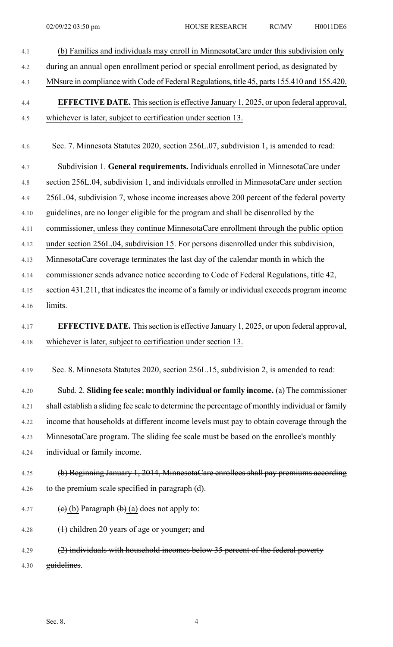4.1 (b) Families and individuals may enroll in MinnesotaCare under this subdivision only 4.2 during an annual open enrollment period or special enrollment period, as designated by 4.3 MNsure in compliance with Code of Federal Regulations, title 45, parts 155.410 and 155.420. 4.4 **EFFECTIVE DATE.** Thissection is effective January 1, 2025, or upon federal approval, 4.5 whichever is later, subject to certification under section 13. 4.6 Sec. 7. Minnesota Statutes 2020, section 256L.07, subdivision 1, is amended to read: 4.7 Subdivision 1. **General requirements.** Individuals enrolled in MinnesotaCare under 4.8 section 256L.04, subdivision 1, and individuals enrolled in MinnesotaCare under section 4.9 256L.04, subdivision 7, whose income increases above 200 percent of the federal poverty 4.10 guidelines, are no longer eligible for the program and shall be disenrolled by the 4.11 commissioner, unless they continue MinnesotaCare enrollment through the public option 4.12 under section 256L.04, subdivision 15. For persons disenrolled under this subdivision, 4.13 MinnesotaCare coverage terminates the last day of the calendar month in which the 4.14 commissioner sends advance notice according to Code of Federal Regulations, title 42, 4.15 section 431.211, that indicates the income of a family or individual exceeds program income 4.16 limits. 4.17 **EFFECTIVE DATE.** Thissection is effective January 1, 2025, or upon federal approval, 4.18 whichever is later, subject to certification under section 13. 4.19 Sec. 8. Minnesota Statutes 2020, section 256L.15, subdivision 2, is amended to read: 4.20 Subd. 2. **Sliding fee scale; monthly individual or family income.** (a) The commissioner 4.21 shall establish a sliding fee scale to determine the percentage of monthly individual or family 4.22 income that households at different income levels must pay to obtain coverage through the 4.23 MinnesotaCare program. The sliding fee scale must be based on the enrollee's monthly 4.24 individual or family income. 4.25 (b) Beginning January 1, 2014, MinnesotaCare enrollees shall pay premiums according 4.26 to the premium scale specified in paragraph (d). 4.27 (e) (b) Paragraph  $\left(\frac{b}{c}\right)$  (a) does not apply to: 4.28  $\left(1\right)$  children 20 years of age or younger; and 4.29 (2) individuals with household incomes below 35 percent of the federal poverty 4.30 guidelines.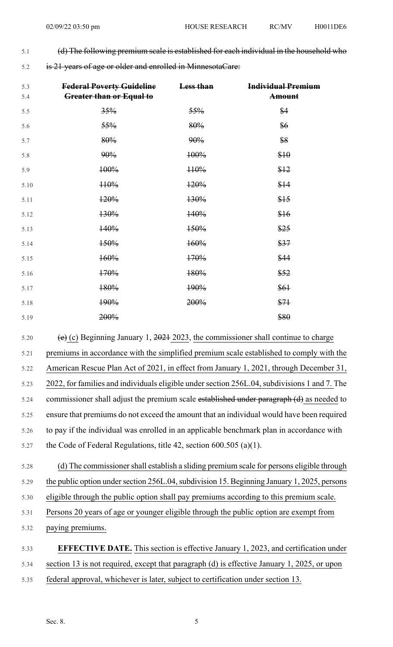- 5.1 (d) The following premium scale is established for each individual in the household who
- 5.2 is 21 years of age or older and enrolled in MinnesotaCare:

| 5.3<br>5.4 | <b>Federal Poverty Guideline</b><br>Greater than or Equal to | Less than | <b>Individual Premium</b><br><b>Amount</b> |
|------------|--------------------------------------------------------------|-----------|--------------------------------------------|
| 5.5        | 35%                                                          | 55%       | \$4                                        |
| 5.6        | 55%                                                          | 80%       | \$6                                        |
| 5.7        | 80%                                                          | 90%       | \$8                                        |
| 5.8        | 90%                                                          | 100%      | \$10                                       |
| 5.9        | 100%                                                         | H0%       | \$12                                       |
| 5.10       | 110%                                                         | 120%      | \$14                                       |
| 5.11       | 120%                                                         | 130%      | \$15                                       |
| 5.12       | 130%                                                         | 140%      | \$16                                       |
| 5.13       | 140%                                                         | 150%      | \$25                                       |
| 5.14       | 150%                                                         | 160%      | \$37                                       |
| 5.15       | 160%                                                         | 170%      | \$44                                       |
| 5.16       | 170%                                                         | 180%      | \$52                                       |
| 5.17       | 180%                                                         | 190%      | \$61                                       |
| 5.18       | 190%                                                         | 200%      | \$71                                       |
| 5.19       | 200%                                                         |           | \$80                                       |

5.20 (e) (c) Beginning January 1,  $2021$  2023, the commissioner shall continue to charge 5.21 premiums in accordance with the simplified premium scale established to comply with the 5.22 American Rescue Plan Act of 2021, in effect from January 1, 2021, through December 31, 5.23 2022, for families and individuals eligible under section 256L.04, subdivisions 1 and 7. The 5.24 commissioner shall adjust the premium scale established under paragraph (d) as needed to 5.25 ensure that premiums do not exceed the amount that an individual would have been required 5.26 to pay if the individual was enrolled in an applicable benchmark plan in accordance with 5.27 the Code of Federal Regulations, title 42, section 600.505 (a)(1).

5.28 (d) The commissionershall establish a sliding premium scale for persons eligible through 5.29 the public option under section 256L.04, subdivision 15. Beginning January 1, 2025, persons 5.30 eligible through the public option shall pay premiums according to this premium scale. 5.31 Persons 20 years of age or younger eligible through the public option are exempt from 5.32 paying premiums. 5.33 **EFFECTIVE DATE.** This section is effective January 1, 2023, and certification under

5.34 section 13 is not required, except that paragraph (d) is effective January 1, 2025, or upon

5.35 federal approval, whichever is later, subject to certification under section 13.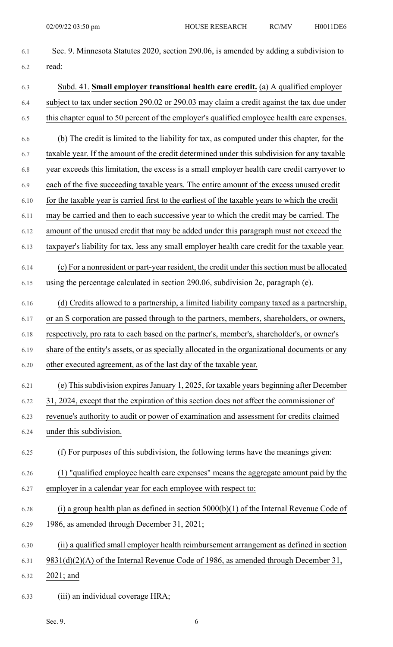6.1 Sec. 9. Minnesota Statutes 2020, section 290.06, is amended by adding a subdivision to 6.2 read: 6.3 Subd. 41. **Small employer transitional health care credit.** (a) A qualified employer 6.4 subject to tax under section 290.02 or 290.03 may claim a credit against the tax due under 6.5 this chapter equal to 50 percent of the employer's qualified employee health care expenses. 6.6 (b) The credit is limited to the liability for tax, as computed under this chapter, for the 6.7 taxable year. If the amount of the credit determined under this subdivision for any taxable 6.8 year exceeds this limitation, the excess is a small employer health care credit carryover to 6.9 each of the five succeeding taxable years. The entire amount of the excess unused credit 6.10 for the taxable year is carried first to the earliest of the taxable years to which the credit 6.11 may be carried and then to each successive year to which the credit may be carried. The 6.12 amount of the unused credit that may be added under this paragraph must not exceed the 6.13 taxpayer's liability for tax, less any small employer health care credit for the taxable year. 6.14 (c) For a nonresident or part-year resident, the credit under thissection must be allocated 6.15 using the percentage calculated in section 290.06, subdivision 2c, paragraph (e). 6.16 (d) Credits allowed to a partnership, a limited liability company taxed as a partnership, 6.17 or an S corporation are passed through to the partners, members, shareholders, or owners, 6.18 respectively, pro rata to each based on the partner's, member's, shareholder's, or owner's 6.19 share of the entity's assets, or as specially allocated in the organizational documents or any 6.20 other executed agreement, as of the last day of the taxable year. 6.21 (e) Thissubdivision expiresJanuary 1, 2025, for taxable years beginning after December 6.22 31, 2024, except that the expiration of this section does not affect the commissioner of 6.23 revenue's authority to audit or power of examination and assessment for credits claimed 6.24 under this subdivision. 6.25 (f) For purposes of this subdivision, the following terms have the meanings given: 6.26 (1) "qualified employee health care expenses" means the aggregate amount paid by the 6.27 employer in a calendar year for each employee with respect to: 6.28 (i) a group health plan as defined in section  $5000(b)(1)$  of the Internal Revenue Code of 6.29 1986, as amended through December 31, 2021; 6.30 (ii) a qualified small employer health reimbursement arrangement as defined in section 6.31 9831(d)(2)(A) of the Internal Revenue Code of 1986, as amended through December 31, 6.32 2021; and 6.33 (iii) an individual coverage HRA;

Sec. 9.  $\qquad \qquad 6$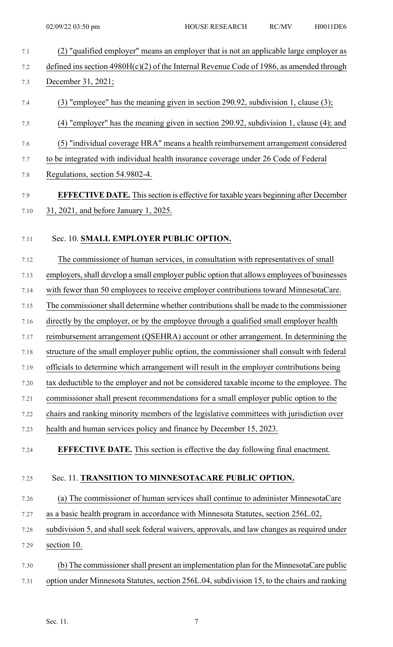7.1 (2) "qualified employer" means an employer that is not an applicable large employer as 7.2 defined ins section 4980H(c)(2) of the Internal Revenue Code of 1986, as amended through 7.3 December 31, 2021; 7.4 (3) "employee" has the meaning given in section 290.92, subdivision 1, clause (3); 7.5 (4) "employer" has the meaning given in section 290.92, subdivision 1, clause (4); and 7.6 (5) "individual coverage HRA" means a health reimbursement arrangement considered 7.7 to be integrated with individual health insurance coverage under 26 Code of Federal 7.8 Regulations, section 54.9802-4. 7.9 **EFFECTIVE DATE.** Thissection is effective for taxable years beginning after December 7.10 31, 2021, and before January 1, 2025. 7.11 Sec. 10. **SMALL EMPLOYER PUBLIC OPTION.** 7.12 The commissioner of human services, in consultation with representatives of small 7.13 employers,shall develop a small employer public option that allows employees of businesses 7.14 with fewer than 50 employees to receive employer contributions toward MinnesotaCare. 7.15 The commissionershall determine whether contributionsshall be made to the commissioner 7.16 directly by the employer, or by the employee through a qualified small employer health 7.17 reimbursement arrangement (QSEHRA) account or other arrangement. In determining the 7.18 structure of the small employer public option, the commissioner shall consult with federal 7.19 officials to determine which arrangement will result in the employer contributions being 7.20 tax deductible to the employer and not be considered taxable income to the employee. The 7.21 commissioner shall present recommendations for a small employer public option to the 7.22 chairs and ranking minority members of the legislative committees with jurisdiction over 7.23 health and human services policy and finance by December 15, 2023. 7.24 **EFFECTIVE DATE.** This section is effective the day following final enactment. 7.25 Sec. 11. **TRANSITION TO MINNESOTACARE PUBLIC OPTION.** 7.26 (a) The commissioner of human services shall continue to administer MinnesotaCare 7.27 as a basic health program in accordance with Minnesota Statutes, section 256L.02, 7.28 subdivision 5, and shall seek federal waivers, approvals, and law changes as required under 7.29 section 10. 7.30 (b) The commissionershall present an implementation plan for the MinnesotaCare public 7.31 option under Minnesota Statutes, section 256L.04, subdivision 15, to the chairs and ranking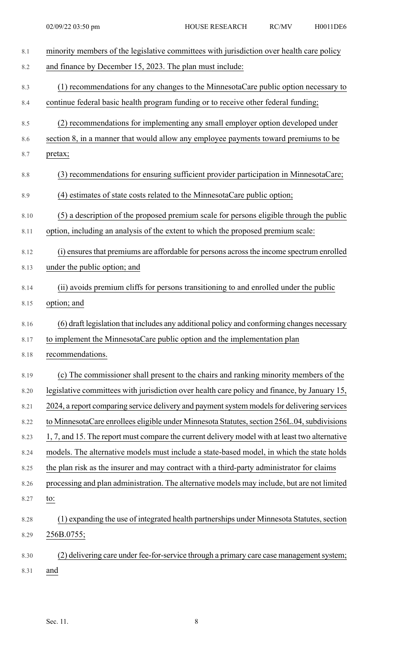| $8.1\,$ | minority members of the legislative committees with jurisdiction over health care policy       |
|---------|------------------------------------------------------------------------------------------------|
| 8.2     | and finance by December 15, 2023. The plan must include:                                       |
| 8.3     | (1) recommendations for any changes to the MinnesotaCare public option necessary to            |
| 8.4     | continue federal basic health program funding or to receive other federal funding;             |
| 8.5     | (2) recommendations for implementing any small employer option developed under                 |
| 8.6     | section 8, in a manner that would allow any employee payments toward premiums to be            |
| 8.7     | pretax;                                                                                        |
| 8.8     | (3) recommendations for ensuring sufficient provider participation in MinnesotaCare;           |
| 8.9     | (4) estimates of state costs related to the MinnesotaCare public option;                       |
| 8.10    | (5) a description of the proposed premium scale for persons eligible through the public        |
| 8.11    | option, including an analysis of the extent to which the proposed premium scale:               |
| 8.12    | (i) ensures that premiums are affordable for persons across the income spectrum enrolled       |
| 8.13    | under the public option; and                                                                   |
| 8.14    | (ii) avoids premium cliffs for persons transitioning to and enrolled under the public          |
| 8.15    | option; and                                                                                    |
| 8.16    | (6) draft legislation that includes any additional policy and conforming changes necessary     |
| 8.17    | to implement the MinnesotaCare public option and the implementation plan                       |
| 8.18    | recommendations.                                                                               |
| 8.19    | (c) The commissioner shall present to the chairs and ranking minority members of the           |
| 8.20    | legislative committees with jurisdiction over health care policy and finance, by January 15,   |
| 8.21    | 2024, a report comparing service delivery and payment system models for delivering services    |
| 8.22    | to MinnesotaCare enrollees eligible under Minnesota Statutes, section 256L.04, subdivisions    |
| 8.23    | 1, 7, and 15. The report must compare the current delivery model with at least two alternative |
| 8.24    | models. The alternative models must include a state-based model, in which the state holds      |
| 8.25    | the plan risk as the insurer and may contract with a third-party administrator for claims      |
| 8.26    | processing and plan administration. The alternative models may include, but are not limited    |
| 8.27    | to:                                                                                            |
| 8.28    | (1) expanding the use of integrated health partnerships under Minnesota Statutes, section      |
| 8.29    | 256B.0755;                                                                                     |
| 8.30    | (2) delivering care under fee-for-service through a primary care case management system;       |
| 8.31    | and                                                                                            |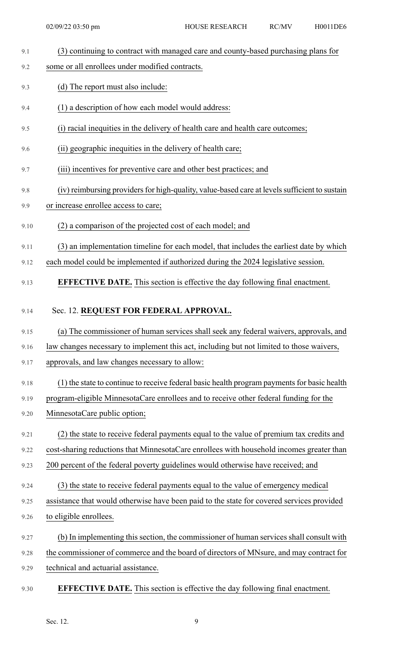- 9.1 (3) continuing to contract with managed care and county-based purchasing plans for
- 9.2 some or all enrollees under modified contracts.
- 9.3 (d) The report must also include:
- 9.4 (1) a description of how each model would address:
- 9.5 (i) racial inequities in the delivery of health care and health care outcomes;
- 9.6 (ii) geographic inequities in the delivery of health care;
- 9.7 (iii) incentives for preventive care and other best practices; and
- 9.8 (iv) reimbursing providers for high-quality, value-based care at levels sufficient to sustain
- 9.9 or increase enrollee access to care;
- 9.10 (2) a comparison of the projected cost of each model; and
- 9.11 (3) an implementation timeline for each model, that includes the earliest date by which
- 9.12 each model could be implemented if authorized during the 2024 legislative session.
- 9.13 **EFFECTIVE DATE.** This section is effective the day following final enactment.

## 9.14 Sec. 12. **REQUEST FOR FEDERAL APPROVAL.**

- 9.15 (a) The commissioner of human services shall seek any federal waivers, approvals, and
- 9.16 law changes necessary to implement this act, including but not limited to those waivers,
- 9.17 approvals, and law changes necessary to allow:
- 9.18 (1) the state to continue to receive federal basic health program payments for basic health
- 9.19 program-eligible MinnesotaCare enrollees and to receive other federal funding for the
- 9.20 MinnesotaCare public option;
- 9.21 (2) the state to receive federal payments equal to the value of premium tax credits and
- 9.22 cost-sharing reductions that MinnesotaCare enrollees with household incomes greater than
- 9.23 200 percent of the federal poverty guidelines would otherwise have received; and
- 9.24 (3) the state to receive federal payments equal to the value of emergency medical
- 9.25 assistance that would otherwise have been paid to the state for covered services provided
- 9.26 to eligible enrollees.
- 9.27 (b) In implementing this section, the commissioner of human services shall consult with
- 9.28 the commissioner of commerce and the board of directors of MNsure, and may contract for
- 9.29 technical and actuarial assistance.
- 9.30 **EFFECTIVE DATE.** This section is effective the day following final enactment.